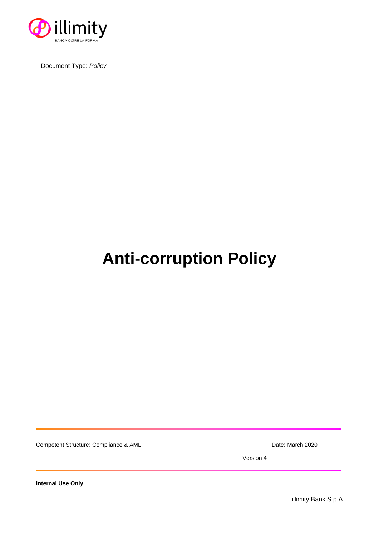

Document Type: *Policy*

# **Anti-corruption Policy**

Competent Structure: Compliance & AML Date: March 2020

Version 4

**Internal Use Only**

illimity Bank S.p.A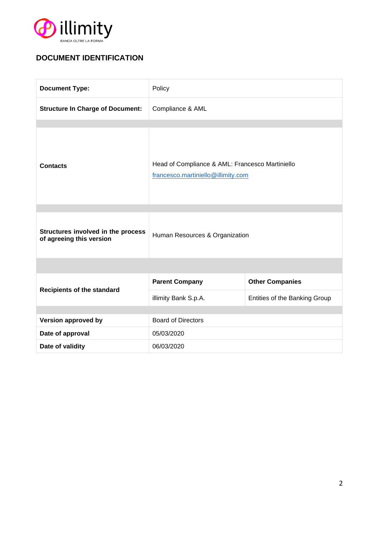

# **DOCUMENT IDENTIFICATION**

| <b>Document Type:</b>                                          | Policy                                                                                |                               |
|----------------------------------------------------------------|---------------------------------------------------------------------------------------|-------------------------------|
| <b>Structure In Charge of Document:</b>                        | Compliance & AML                                                                      |                               |
|                                                                |                                                                                       |                               |
| <b>Contacts</b>                                                | Head of Compliance & AML: Francesco Martiniello<br>francesco.martiniello@illimity.com |                               |
|                                                                |                                                                                       |                               |
| Structures involved in the process<br>of agreeing this version | Human Resources & Organization                                                        |                               |
|                                                                |                                                                                       |                               |
| <b>Recipients of the standard</b>                              | <b>Parent Company</b>                                                                 | <b>Other Companies</b>        |
|                                                                | illimity Bank S.p.A.                                                                  | Entities of the Banking Group |
|                                                                |                                                                                       |                               |
| Version approved by                                            | <b>Board of Directors</b>                                                             |                               |
| Date of approval                                               | 05/03/2020                                                                            |                               |
| Date of validity                                               | 06/03/2020                                                                            |                               |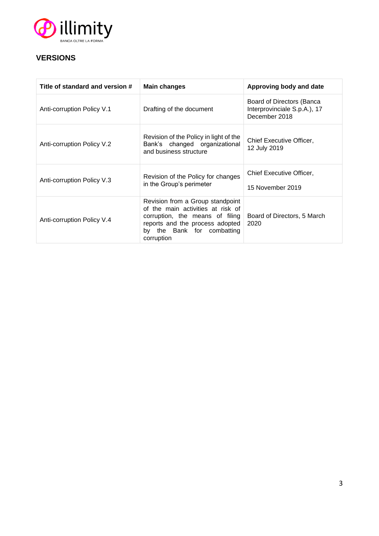

## **VERSIONS**

| Title of standard and version # | Main changes                                                                                                                                                                            | Approving body and date                                                    |
|---------------------------------|-----------------------------------------------------------------------------------------------------------------------------------------------------------------------------------------|----------------------------------------------------------------------------|
| Anti-corruption Policy V.1      | Drafting of the document                                                                                                                                                                | Board of Directors (Banca<br>Interprovinciale S.p.A.), 17<br>December 2018 |
| Anti-corruption Policy V.2      | Revision of the Policy in light of the<br>Bank's changed organizational<br>and business structure                                                                                       | Chief Executive Officer,<br>12 July 2019                                   |
| Anti-corruption Policy V.3      | Revision of the Policy for changes<br>in the Group's perimeter                                                                                                                          | Chief Executive Officer,<br>15 November 2019                               |
| Anti-corruption Policy V.4      | Revision from a Group standpoint<br>of the main activities at risk of<br>corruption, the means of filing<br>reports and the process adopted<br>by the Bank for combatting<br>corruption | Board of Directors, 5 March<br>2020                                        |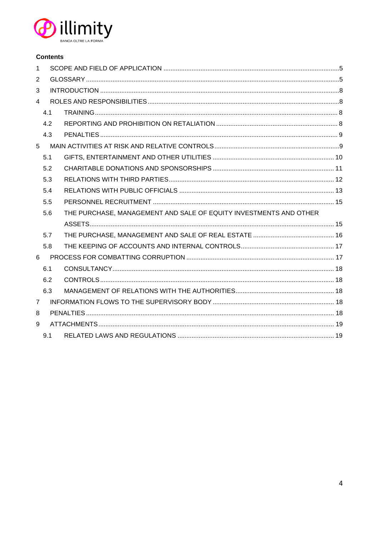

#### **Contents**

| $\mathbf{1}$   |     |                                                                   |  |
|----------------|-----|-------------------------------------------------------------------|--|
| 2              |     |                                                                   |  |
| 3              |     |                                                                   |  |
| $\overline{4}$ |     |                                                                   |  |
|                | 4.1 |                                                                   |  |
|                | 4.2 |                                                                   |  |
|                | 4.3 |                                                                   |  |
| 5              |     |                                                                   |  |
|                | 5.1 |                                                                   |  |
|                | 5.2 |                                                                   |  |
|                | 5.3 |                                                                   |  |
|                | 5.4 |                                                                   |  |
|                | 5.5 |                                                                   |  |
|                | 5.6 | THE PURCHASE, MANAGEMENT AND SALE OF EQUITY INVESTMENTS AND OTHER |  |
|                |     |                                                                   |  |
|                | 5.7 |                                                                   |  |
|                | 5.8 |                                                                   |  |
| 6              |     |                                                                   |  |
|                | 6.1 |                                                                   |  |
|                | 6.2 |                                                                   |  |
|                | 6.3 |                                                                   |  |
| $\overline{7}$ |     |                                                                   |  |
| 8              |     |                                                                   |  |
| 9              |     |                                                                   |  |
|                | 9.1 |                                                                   |  |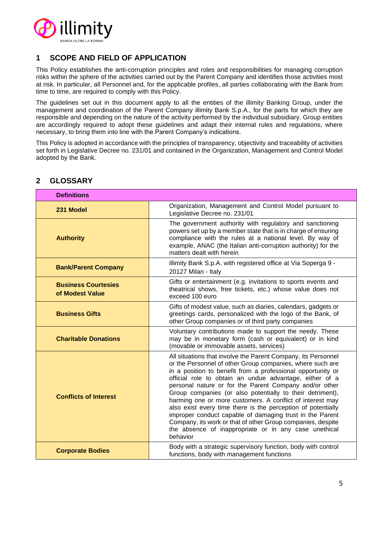

## <span id="page-4-0"></span>**1 SCOPE AND FIELD OF APPLICATION**

This Policy establishes the anti-corruption principles and roles and responsibilities for managing corruption risks within the sphere of the activities carried out by the Parent Company and identifies those activities most at risk. In particular, all Personnel and, for the applicable profiles, all parties collaborating with the Bank from time to time, are required to comply with this Policy.

The guidelines set out in this document apply to all the entities of the illimity Banking Group, under the management and coordination of the Parent Company illimity Bank S.p.A., for the parts for which they are responsible and depending on the nature of the activity performed by the individual subsidiary. Group entities are accordingly required to adopt these guidelines and adapt their internal rules and regulations, where necessary, to bring them into line with the Parent Company's indications.

This Policy is adopted in accordance with the principles of transparency, objectivity and traceability of activities set forth in Legislative Decree no. 231/01 and contained in the Organization, Management and Control Model adopted by the Bank.

| <b>Definitions</b>                            |                                                                                                                                                                                                                                                                                                                                                                                                                                                                                                                                                                                                                                                                                                          |
|-----------------------------------------------|----------------------------------------------------------------------------------------------------------------------------------------------------------------------------------------------------------------------------------------------------------------------------------------------------------------------------------------------------------------------------------------------------------------------------------------------------------------------------------------------------------------------------------------------------------------------------------------------------------------------------------------------------------------------------------------------------------|
| 231 Model                                     | Organization, Management and Control Model pursuant to<br>Legislative Decree no. 231/01                                                                                                                                                                                                                                                                                                                                                                                                                                                                                                                                                                                                                  |
| <b>Authority</b>                              | The government authority with regulatory and sanctioning<br>powers set up by a member state that is in charge of ensuring<br>compliance with the rules at a national level. By way of<br>example, ANAC (the Italian anti-corruption authority) for the<br>matters dealt with herein                                                                                                                                                                                                                                                                                                                                                                                                                      |
| <b>Bank/Parent Company</b>                    | illimity Bank S.p.A. with registered office at Via Soperga 9 -<br>20127 Milan - Italy                                                                                                                                                                                                                                                                                                                                                                                                                                                                                                                                                                                                                    |
| <b>Business Courtesies</b><br>of Modest Value | Gifts or entertainment (e.g. invitations to sports events and<br>theatrical shows, free tickets, etc.) whose value does not<br>exceed 100 euro                                                                                                                                                                                                                                                                                                                                                                                                                                                                                                                                                           |
| <b>Business Gifts</b>                         | Gifts of modest value, such as diaries, calendars, gadgets or<br>greetings cards, personalized with the logo of the Bank, of<br>other Group companies or of third party companies                                                                                                                                                                                                                                                                                                                                                                                                                                                                                                                        |
| <b>Charitable Donations</b>                   | Voluntary contributions made to support the needy. These<br>may be in monetary form (cash or equivalent) or in kind<br>(movable or immovable assets, services)                                                                                                                                                                                                                                                                                                                                                                                                                                                                                                                                           |
| <b>Conflicts of Interest</b>                  | All situations that involve the Parent Company, its Personnel<br>or the Personnel of other Group companies, where such are<br>in a position to benefit from a professional opportunity or<br>official role to obtain an undue advantage, either of a<br>personal nature or for the Parent Company and/or other<br>Group companies (or also potentially to their detriment),<br>harming one or more customers. A conflict of interest may<br>also exist every time there is the perception of potentially<br>improper conduct capable of damaging trust in the Parent<br>Company, its work or that of other Group companies, despite<br>the absence of inappropriate or in any case unethical<br>behavior |
| <b>Corporate Bodies</b>                       | Body with a strategic supervisory function, body with control<br>functions, body with management functions                                                                                                                                                                                                                                                                                                                                                                                                                                                                                                                                                                                               |

## <span id="page-4-1"></span>**2 GLOSSARY**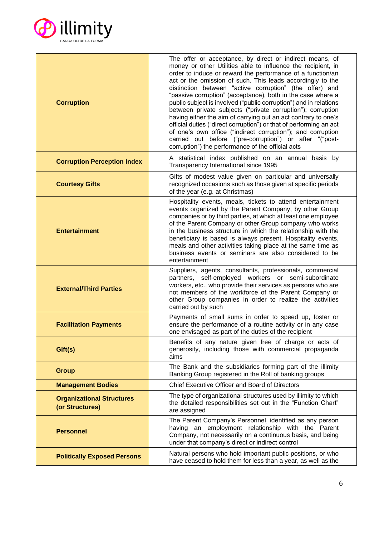

| <b>Corruption</b>                                   | The offer or acceptance, by direct or indirect means, of<br>money or other Utilities able to influence the recipient, in<br>order to induce or reward the performance of a function/an<br>act or the omission of such. This leads accordingly to the<br>distinction between "active corruption" (the offer) and<br>"passive corruption" (acceptance), both in the case where a<br>public subject is involved ("public corruption") and in relations<br>between private subjects ("private corruption"); corruption<br>having either the aim of carrying out an act contrary to one's<br>official duties ("direct corruption") or that of performing an act<br>of one's own office ("indirect corruption"); and corruption<br>carried out before ("pre-corruption") or after "("post-<br>corruption") the performance of the official acts |  |
|-----------------------------------------------------|-------------------------------------------------------------------------------------------------------------------------------------------------------------------------------------------------------------------------------------------------------------------------------------------------------------------------------------------------------------------------------------------------------------------------------------------------------------------------------------------------------------------------------------------------------------------------------------------------------------------------------------------------------------------------------------------------------------------------------------------------------------------------------------------------------------------------------------------|--|
| <b>Corruption Perception Index</b>                  | A statistical index published on an annual basis by<br>Transparency International since 1995                                                                                                                                                                                                                                                                                                                                                                                                                                                                                                                                                                                                                                                                                                                                              |  |
| <b>Courtesy Gifts</b>                               | Gifts of modest value given on particular and universally<br>recognized occasions such as those given at specific periods<br>of the year (e.g. at Christmas)                                                                                                                                                                                                                                                                                                                                                                                                                                                                                                                                                                                                                                                                              |  |
| <b>Entertainment</b>                                | Hospitality events, meals, tickets to attend entertainment<br>events organized by the Parent Company, by other Group<br>companies or by third parties, at which at least one employee<br>of the Parent Company or other Group company who works<br>in the business structure in which the relationship with the<br>beneficiary is based is always present. Hospitality events,<br>meals and other activities taking place at the same time as<br>business events or seminars are also considered to be<br>entertainment                                                                                                                                                                                                                                                                                                                   |  |
| <b>External/Third Parties</b>                       | Suppliers, agents, consultants, professionals, commercial<br>partners, self-employed workers or semi-subordinate<br>workers, etc., who provide their services as persons who are<br>not members of the workforce of the Parent Company or<br>other Group companies in order to realize the activities<br>carried out by such                                                                                                                                                                                                                                                                                                                                                                                                                                                                                                              |  |
| <b>Facilitation Payments</b>                        | Payments of small sums in order to speed up, foster or<br>ensure the performance of a routine activity or in any case<br>one envisaged as part of the duties of the recipient                                                                                                                                                                                                                                                                                                                                                                                                                                                                                                                                                                                                                                                             |  |
| Gift(s)                                             | Benefits of any nature given free of charge or acts of<br>generosity, including those with commercial propaganda<br>aims                                                                                                                                                                                                                                                                                                                                                                                                                                                                                                                                                                                                                                                                                                                  |  |
| <b>Group</b>                                        | The Bank and the subsidiaries forming part of the illimity<br>Banking Group registered in the Roll of banking groups                                                                                                                                                                                                                                                                                                                                                                                                                                                                                                                                                                                                                                                                                                                      |  |
| <b>Management Bodies</b>                            | Chief Executive Officer and Board of Directors                                                                                                                                                                                                                                                                                                                                                                                                                                                                                                                                                                                                                                                                                                                                                                                            |  |
| <b>Organizational Structures</b><br>(or Structures) | The type of organizational structures used by illimity to which<br>the detailed responsibilities set out in the "Function Chart"<br>are assigned                                                                                                                                                                                                                                                                                                                                                                                                                                                                                                                                                                                                                                                                                          |  |
| <b>Personnel</b>                                    | The Parent Company's Personnel, identified as any person<br>having an employment relationship with the Parent<br>Company, not necessarily on a continuous basis, and being<br>under that company's direct or indirect control                                                                                                                                                                                                                                                                                                                                                                                                                                                                                                                                                                                                             |  |
| <b>Politically Exposed Persons</b>                  | Natural persons who hold important public positions, or who<br>have ceased to hold them for less than a year, as well as the                                                                                                                                                                                                                                                                                                                                                                                                                                                                                                                                                                                                                                                                                                              |  |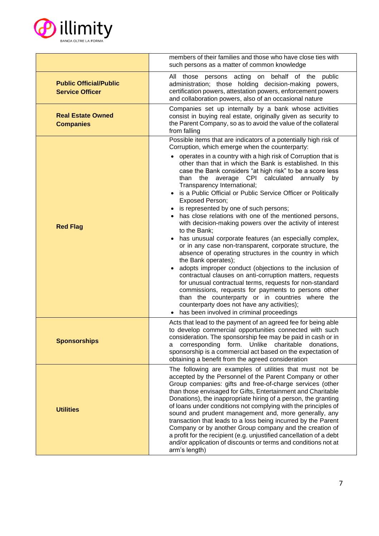

|                                                         | members of their families and those who have close ties with<br>such persons as a matter of common knowledge                                                                                                                                                                                                                                                                                                                                                                                                                                                                                                                                                                                                                                                                                                                                                                                                                                                                                                                                                                                                                                                                                                                                                                                |  |
|---------------------------------------------------------|---------------------------------------------------------------------------------------------------------------------------------------------------------------------------------------------------------------------------------------------------------------------------------------------------------------------------------------------------------------------------------------------------------------------------------------------------------------------------------------------------------------------------------------------------------------------------------------------------------------------------------------------------------------------------------------------------------------------------------------------------------------------------------------------------------------------------------------------------------------------------------------------------------------------------------------------------------------------------------------------------------------------------------------------------------------------------------------------------------------------------------------------------------------------------------------------------------------------------------------------------------------------------------------------|--|
| <b>Public Official/Public</b><br><b>Service Officer</b> | All those persons acting on behalf of the public<br>administration; those holding decision-making powers,<br>certification powers, attestation powers, enforcement powers<br>and collaboration powers, also of an occasional nature                                                                                                                                                                                                                                                                                                                                                                                                                                                                                                                                                                                                                                                                                                                                                                                                                                                                                                                                                                                                                                                         |  |
| <b>Real Estate Owned</b><br><b>Companies</b>            | Companies set up internally by a bank whose activities<br>consist in buying real estate, originally given as security to<br>the Parent Company, so as to avoid the value of the collateral<br>from falling                                                                                                                                                                                                                                                                                                                                                                                                                                                                                                                                                                                                                                                                                                                                                                                                                                                                                                                                                                                                                                                                                  |  |
| <b>Red Flag</b>                                         | Possible items that are indicators of a potentially high risk of<br>Corruption, which emerge when the counterparty:<br>operates in a country with a high risk of Corruption that is<br>other than that in which the Bank is established. In this<br>case the Bank considers "at high risk" to be a score less<br>than the average CPI calculated<br>annually<br>by<br>Transparency International;<br>is a Public Official or Public Service Officer or Politically<br><b>Exposed Person;</b><br>is represented by one of such persons;<br>has close relations with one of the mentioned persons,<br>with decision-making powers over the activity of interest<br>to the Bank;<br>has unusual corporate features (an especially complex,<br>or in any case non-transparent, corporate structure, the<br>absence of operating structures in the country in which<br>the Bank operates);<br>adopts improper conduct (objections to the inclusion of<br>$\bullet$<br>contractual clauses on anti-corruption matters, requests<br>for unusual contractual terms, requests for non-standard<br>commissions, requests for payments to persons other<br>than the counterparty or in countries where the<br>counterparty does not have any activities);<br>has been involved in criminal proceedings |  |
| <b>Sponsorships</b>                                     | Acts that lead to the payment of an agreed fee for being able<br>to develop commercial opportunities connected with such<br>consideration. The sponsorship fee may be paid in cash or in<br>a corresponding form. Unlike charitable donations,<br>sponsorship is a commercial act based on the expectation of<br>obtaining a benefit from the agreed consideration                                                                                                                                                                                                                                                                                                                                                                                                                                                                                                                                                                                                                                                                                                                                                                                                                                                                                                                          |  |
| <b>Utilities</b>                                        | The following are examples of utilities that must not be<br>accepted by the Personnel of the Parent Company or other<br>Group companies: gifts and free-of-charge services (other<br>than those envisaged for Gifts, Entertainment and Charitable<br>Donations), the inappropriate hiring of a person, the granting<br>of loans under conditions not complying with the principles of<br>sound and prudent management and, more generally, any<br>transaction that leads to a loss being incurred by the Parent<br>Company or by another Group company and the creation of<br>a profit for the recipient (e.g. unjustified cancellation of a debt<br>and/or application of discounts or terms and conditions not at<br>arm's length)                                                                                                                                                                                                                                                                                                                                                                                                                                                                                                                                                        |  |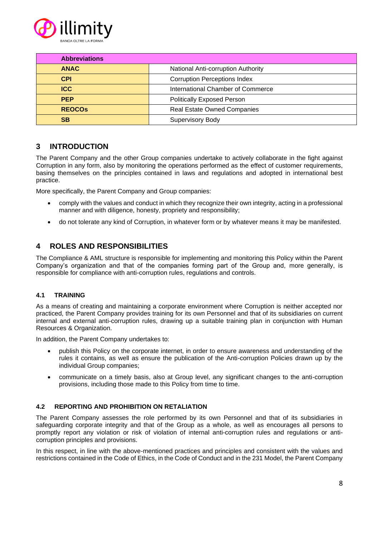

| <b>Abbreviations</b> |                                     |  |
|----------------------|-------------------------------------|--|
| <b>ANAC</b>          | National Anti-corruption Authority  |  |
| <b>CPI</b>           | <b>Corruption Perceptions Index</b> |  |
| <b>ICC</b>           | International Chamber of Commerce   |  |
| <b>PEP</b>           | <b>Politically Exposed Person</b>   |  |
| <b>REOCOS</b>        | <b>Real Estate Owned Companies</b>  |  |
| <b>SB</b>            | <b>Supervisory Body</b>             |  |

## <span id="page-7-0"></span>**3 INTRODUCTION**

The Parent Company and the other Group companies undertake to actively collaborate in the fight against Corruption in any form, also by monitoring the operations performed as the effect of customer requirements, basing themselves on the principles contained in laws and regulations and adopted in international best practice.

More specifically, the Parent Company and Group companies:

- comply with the values and conduct in which they recognize their own integrity, acting in a professional manner and with diligence, honesty, propriety and responsibility;
- do not tolerate any kind of Corruption, in whatever form or by whatever means it may be manifested.

## <span id="page-7-1"></span>**4 ROLES AND RESPONSIBILITIES**

The Compliance & AML structure is responsible for implementing and monitoring this Policy within the Parent Company's organization and that of the companies forming part of the Group and, more generally, is responsible for compliance with anti-corruption rules, regulations and controls.

#### <span id="page-7-2"></span>**4.1 TRAINING**

As a means of creating and maintaining a corporate environment where Corruption is neither accepted nor practiced, the Parent Company provides training for its own Personnel and that of its subsidiaries on current internal and external anti-corruption rules, drawing up a suitable training plan in conjunction with Human Resources & Organization.

In addition, the Parent Company undertakes to:

- publish this Policy on the corporate internet, in order to ensure awareness and understanding of the rules it contains, as well as ensure the publication of the Anti-corruption Policies drawn up by the individual Group companies;
- communicate on a timely basis, also at Group level, any significant changes to the anti-corruption provisions, including those made to this Policy from time to time.

#### <span id="page-7-3"></span>**4.2 REPORTING AND PROHIBITION ON RETALIATION**

The Parent Company assesses the role performed by its own Personnel and that of its subsidiaries in safeguarding corporate integrity and that of the Group as a whole, as well as encourages all persons to promptly report any violation or risk of violation of internal anti-corruption rules and regulations or anticorruption principles and provisions.

In this respect, in line with the above-mentioned practices and principles and consistent with the values and restrictions contained in the Code of Ethics, in the Code of Conduct and in the 231 Model, the Parent Company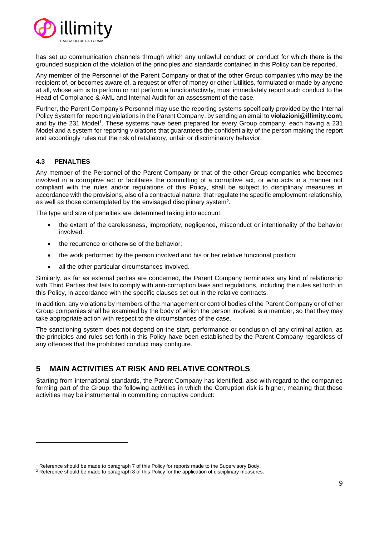

has set up communication channels through which any unlawful conduct or conduct for which there is the grounded suspicion of the violation of the principles and standards contained in this Policy can be reported.

Any member of the Personnel of the Parent Company or that of the other Group companies who may be the recipient of, or becomes aware of, a request or offer of money or other Utilities, formulated or made by anyone at all, whose aim is to perform or not perform a function/activity, must immediately report such conduct to the Head of Compliance & AML and Internal Audit for an assessment of the case.

Further, the Parent Company's Personnel may use the reporting systems specifically provided by the Internal Policy System for reporting violations in the Parent Company, by sending an email to **violazioni@illimity.com,** and by the 231 Model<sup>1</sup>. These systems have been prepared for every Group company, each having a 231 Model and a system for reporting violations that guarantees the confidentiality of the person making the report and accordingly rules out the risk of retaliatory, unfair or discriminatory behavior.

#### <span id="page-8-0"></span>**4.3 PENALTIES**

Any member of the Personnel of the Parent Company or that of the other Group companies who becomes involved in a corruptive act or facilitates the committing of a corruptive act, or who acts in a manner not compliant with the rules and/or regulations of this Policy, shall be subject to disciplinary measures in accordance with the provisions, also of a contractual nature, that regulate the specific employment relationship, as well as those contemplated by the envisaged disciplinary system<sup>2</sup>.

The type and size of penalties are determined taking into account:

- the extent of the carelessness, impropriety, negligence, misconduct or intentionality of the behavior involved;
- the recurrence or otherwise of the behavior;
- the work performed by the person involved and his or her relative functional position;
- all the other particular circumstances involved.

Similarly, as far as external parties are concerned, the Parent Company terminates any kind of relationship with Third Parties that fails to comply with anti-corruption laws and regulations, including the rules set forth in this Policy, in accordance with the specific clauses set out in the relative contracts.

In addition, any violations by members of the management or control bodies of the Parent Company or of other Group companies shall be examined by the body of which the person involved is a member, so that they may take appropriate action with respect to the circumstances of the case.

The sanctioning system does not depend on the start, performance or conclusion of any criminal action, as the principles and rules set forth in this Policy have been established by the Parent Company regardless of any offences that the prohibited conduct may configure.

## <span id="page-8-1"></span>**5 MAIN ACTIVITIES AT RISK AND RELATIVE CONTROLS**

Starting from international standards, the Parent Company has identified, also with regard to the companies forming part of the Group, the following activities in which the Corruption risk is higher, meaning that these activities may be instrumental in committing corruptive conduct:

<sup>1</sup> Reference should be made to paragraph 7 of this Policy for reports made to the Supervisory Body.

<sup>2</sup> Reference should be made to paragraph 8 of this Policy for the application of disciplinary measures.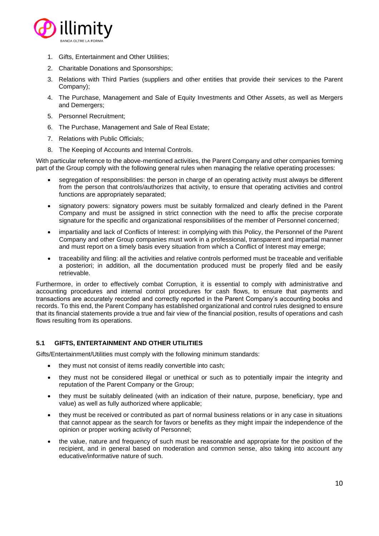

- 1. Gifts, Entertainment and Other Utilities;
- 2. Charitable Donations and Sponsorships;
- 3. Relations with Third Parties (suppliers and other entities that provide their services to the Parent Company);
- 4. The Purchase, Management and Sale of Equity Investments and Other Assets, as well as Mergers and Demergers;
- 5. Personnel Recruitment;
- 6. The Purchase, Management and Sale of Real Estate;
- 7. Relations with Public Officials;
- 8. The Keeping of Accounts and Internal Controls.

With particular reference to the above-mentioned activities, the Parent Company and other companies forming part of the Group comply with the following general rules when managing the relative operating processes:

- segregation of responsibilities: the person in charge of an operating activity must always be different from the person that controls/authorizes that activity, to ensure that operating activities and control functions are appropriately separated;
- signatory powers: signatory powers must be suitably formalized and clearly defined in the Parent Company and must be assigned in strict connection with the need to affix the precise corporate signature for the specific and organizational responsibilities of the member of Personnel concerned;
- impartiality and lack of Conflicts of Interest: in complying with this Policy, the Personnel of the Parent Company and other Group companies must work in a professional, transparent and impartial manner and must report on a timely basis every situation from which a Conflict of Interest may emerge;
- traceability and filing: all the activities and relative controls performed must be traceable and verifiable a posteriori; in addition, all the documentation produced must be properly filed and be easily retrievable.

Furthermore, in order to effectively combat Corruption, it is essential to comply with administrative and accounting procedures and internal control procedures for cash flows, to ensure that payments and transactions are accurately recorded and correctly reported in the Parent Company's accounting books and records. To this end, the Parent Company has established organizational and control rules designed to ensure that its financial statements provide a true and fair view of the financial position, results of operations and cash flows resulting from its operations.

#### <span id="page-9-0"></span>**5.1 GIFTS, ENTERTAINMENT AND OTHER UTILITIES**

Gifts/Entertainment/Utilities must comply with the following minimum standards:

- they must not consist of items readily convertible into cash;
- they must not be considered illegal or unethical or such as to potentially impair the integrity and reputation of the Parent Company or the Group;
- they must be suitably delineated (with an indication of their nature, purpose, beneficiary, type and value) as well as fully authorized where applicable;
- they must be received or contributed as part of normal business relations or in any case in situations that cannot appear as the search for favors or benefits as they might impair the independence of the opinion or proper working activity of Personnel;
- the value, nature and frequency of such must be reasonable and appropriate for the position of the recipient, and in general based on moderation and common sense, also taking into account any educative/informative nature of such.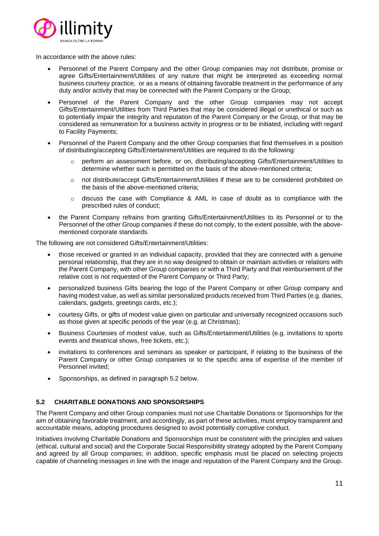

In accordance with the above rules:

- Personnel of the Parent Company and the other Group companies may not distribute, promise or agree Gifts/Entertainment/Utilities of any nature that might be interpreted as exceeding normal business courtesy practice, or as a means of obtaining favorable treatment in the performance of any duty and/or activity that may be connected with the Parent Company or the Group;
- Personnel of the Parent Company and the other Group companies may not accept Gifts/Entertainment/Utilities from Third Parties that may be considered illegal or unethical or such as to potentially impair the integrity and reputation of the Parent Company or the Group, or that may be considered as remuneration for a business activity in progress or to be initiated, including with regard to Facility Payments;
- Personnel of the Parent Company and the other Group companies that find themselves in a position of distributing/accepting Gifts/Entertainment/Utilities are required to do the following:
	- o perform an assessment before, or on, distributing/accepting Gifts/Entertainment/Utilities to determine whether such is permitted on the basis of the above-mentioned criteria;
	- o not distribute/accept Gifts/Entertainment/Utilities if these are to be considered prohibited on the basis of the above-mentioned criteria;
	- $\circ$  discuss the case with Compliance & AML in case of doubt as to compliance with the prescribed rules of conduct;
- the Parent Company refrains from granting Gifts/Entertainment/Utilities to its Personnel or to the Personnel of the other Group companies if these do not comply, to the extent possible, with the abovementioned corporate standards.

The following are not considered Gifts/Entertainment/Utilities:

- those received or granted in an individual capacity, provided that they are connected with a genuine personal relationship, that they are in no way designed to obtain or maintain activities or relations with the Parent Company, with other Group companies or with a Third Party and that reimbursement of the relative cost is not requested of the Parent Company or Third Party;
- personalized business Gifts bearing the logo of the Parent Company or other Group company and having modest value, as well as similar personalized products received from Third Parties (e.g. diaries, calendars, gadgets, greetings cards, etc.);
- courtesy Gifts, or gifts of modest value given on particular and universally recognized occasions such as those given at specific periods of the year (e.g. at Christmas);
- Business Courtesies of modest value, such as Gifts/Entertainment/Utilities (e.g. invitations to sports events and theatrical shows, free tickets, etc.);
- invitations to conferences and seminars as speaker or participant, if relating to the business of the Parent Company or other Group companies or to the specific area of expertise of the member of Personnel invited;
- Sponsorships, as defined in paragraph 5.2 below.

#### <span id="page-10-0"></span>**5.2 CHARITABLE DONATIONS AND SPONSORSHIPS**

The Parent Company and other Group companies must not use Charitable Donations or Sponsorships for the aim of obtaining favorable treatment, and accordingly, as part of these activities, must employ transparent and accountable means, adopting procedures designed to avoid potentially corruptive conduct.

Initiatives involving Charitable Donations and Sponsorships must be consistent with the principles and values (ethical, cultural and social) and the Corporate Social Responsibility strategy adopted by the Parent Company and agreed by all Group companies; in addition, specific emphasis must be placed on selecting projects capable of channeling messages in line with the image and reputation of the Parent Company and the Group.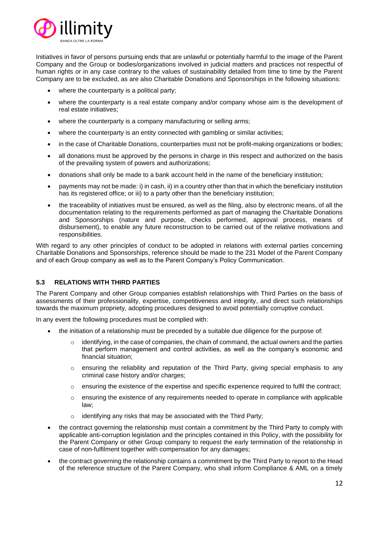

Initiatives in favor of persons pursuing ends that are unlawful or potentially harmful to the image of the Parent Company and the Group or bodies/organizations involved in judicial matters and practices not respectful of human rights or in any case contrary to the values of sustainability detailed from time to time by the Parent Company are to be excluded, as are also Charitable Donations and Sponsorships in the following situations:

- where the counterparty is a political party;
- where the counterparty is a real estate company and/or company whose aim is the development of real estate initiatives;
- where the counterparty is a company manufacturing or selling arms;
- where the counterparty is an entity connected with gambling or similar activities;
- in the case of Charitable Donations, counterparties must not be profit-making organizations or bodies;
- all donations must be approved by the persons in charge in this respect and authorized on the basis of the prevailing system of powers and authorizations;
- donations shall only be made to a bank account held in the name of the beneficiary institution;
- payments may not be made: i) in cash, ii) in a country other than that in which the beneficiary institution has its registered office; or iii) to a party other than the beneficiary institution;
- the traceability of initiatives must be ensured, as well as the filing, also by electronic means, of all the documentation relating to the requirements performed as part of managing the Charitable Donations and Sponsorships (nature and purpose, checks performed, approval process, means of disbursement), to enable any future reconstruction to be carried out of the relative motivations and responsibilities.

With regard to any other principles of conduct to be adopted in relations with external parties concerning Charitable Donations and Sponsorships, reference should be made to the 231 Model of the Parent Company and of each Group company as well as to the Parent Company's Policy Communication.

#### <span id="page-11-0"></span>**5.3 RELATIONS WITH THIRD PARTIES**

The Parent Company and other Group companies establish relationships with Third Parties on the basis of assessments of their professionality, expertise, competitiveness and integrity, and direct such relationships towards the maximum propriety, adopting procedures designed to avoid potentially corruptive conduct.

In any event the following procedures must be complied with:

- the initiation of a relationship must be preceded by a suitable due diligence for the purpose of:
	- $\circ$  identifying, in the case of companies, the chain of command, the actual owners and the parties that perform management and control activities, as well as the company's economic and financial situation;
	- $\circ$  ensuring the reliability and reputation of the Third Party, giving special emphasis to any criminal case history and/or charges;
	- o ensuring the existence of the expertise and specific experience required to fulfil the contract;
	- $\circ$  ensuring the existence of any requirements needed to operate in compliance with applicable law;
	- $\circ$  identifying any risks that may be associated with the Third Party;
- the contract governing the relationship must contain a commitment by the Third Party to comply with applicable anti-corruption legislation and the principles contained in this Policy, with the possibility for the Parent Company or other Group company to request the early termination of the relationship in case of non-fulfilment together with compensation for any damages;
- the contract governing the relationship contains a commitment by the Third Party to report to the Head of the reference structure of the Parent Company, who shall inform Compliance & AML on a timely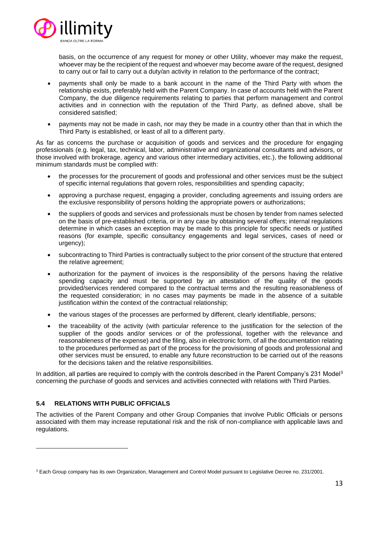

basis, on the occurrence of any request for money or other Utility, whoever may make the request, whoever may be the recipient of the request and whoever may become aware of the request, designed to carry out or fail to carry out a duty/an activity in relation to the performance of the contract;

- payments shall only be made to a bank account in the name of the Third Party with whom the relationship exists, preferably held with the Parent Company. In case of accounts held with the Parent Company, the due diligence requirements relating to parties that perform management and control activities and in connection with the reputation of the Third Party, as defined above, shall be considered satisfied;
- payments may not be made in cash, nor may they be made in a country other than that in which the Third Party is established, or least of all to a different party.

As far as concerns the purchase or acquisition of goods and services and the procedure for engaging professionals (e.g. legal, tax, technical, labor, administrative and organizational consultants and advisors, or those involved with brokerage, agency and various other intermediary activities, etc.), the following additional minimum standards must be complied with:

- the processes for the procurement of goods and professional and other services must be the subject of specific internal regulations that govern roles, responsibilities and spending capacity;
- approving a purchase request, engaging a provider, concluding agreements and issuing orders are the exclusive responsibility of persons holding the appropriate powers or authorizations;
- the suppliers of goods and services and professionals must be chosen by tender from names selected on the basis of pre-established criteria, or in any case by obtaining several offers; internal regulations determine in which cases an exception may be made to this principle for specific needs or justified reasons (for example, specific consultancy engagements and legal services, cases of need or urgency);
- subcontracting to Third Parties is contractually subject to the prior consent of the structure that entered the relative agreement;
- authorization for the payment of invoices is the responsibility of the persons having the relative spending capacity and must be supported by an attestation of the quality of the goods provided/services rendered compared to the contractual terms and the resulting reasonableness of the requested consideration; in no cases may payments be made in the absence of a suitable justification within the context of the contractual relationship;
- the various stages of the processes are performed by different, clearly identifiable, persons;
- the traceability of the activity (with particular reference to the justification for the selection of the supplier of the goods and/or services or of the professional, together with the relevance and reasonableness of the expense) and the filing, also in electronic form, of all the documentation relating to the procedures performed as part of the process for the provisioning of goods and professional and other services must be ensured, to enable any future reconstruction to be carried out of the reasons for the decisions taken and the relative responsibilities.

In addition, all parties are required to comply with the controls described in the Parent Company's 231 Model<sup>3</sup> concerning the purchase of goods and services and activities connected with relations with Third Parties.

#### <span id="page-12-0"></span>**5.4 RELATIONS WITH PUBLIC OFFICIALS**

The activities of the Parent Company and other Group Companies that involve Public Officials or persons associated with them may increase reputational risk and the risk of non-compliance with applicable laws and regulations.

<sup>3</sup> Each Group company has its own Organization, Management and Control Model pursuant to Legislative Decree no. 231/2001.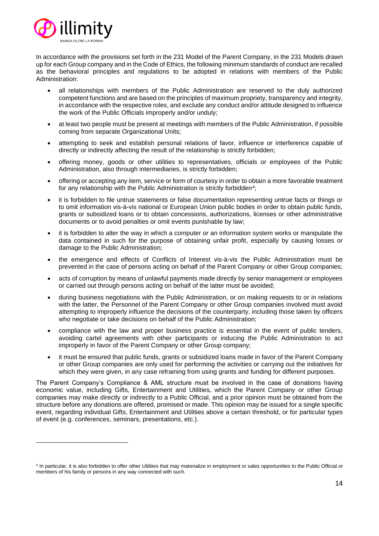

In accordance with the provisions set forth in the 231 Model of the Parent Company, in the 231 Models drawn up for each Group company and in the Code of Ethics, the following minimum standards of conduct are recalled as the behavioral principles and regulations to be adopted in relations with members of the Public Administration:

- all relationships with members of the Public Administration are reserved to the duly authorized competent functions and are based on the principles of maximum propriety, transparency and integrity, in accordance with the respective roles, and exclude any conduct and/or attitude designed to influence the work of the Public Officials improperly and/or unduly;
- at least two people must be present at meetings with members of the Public Administration, if possible coming from separate Organizational Units;
- attempting to seek and establish personal relations of favor, influence or interference capable of directly or indirectly affecting the result of the relationship is strictly forbidden;
- offering money, goods or other utilities to representatives, officials or employees of the Public Administration, also through intermediaries, is strictly forbidden;
- offering or accepting any item, service or form of courtesy in order to obtain a more favorable treatment for any relationship with the Public Administration is strictly forbidden $^4;$
- it is forbidden to file untrue statements or false documentation representing untrue facts or things or to omit information vis-à-vis national or European Union public bodies in order to obtain public funds, grants or subsidized loans or to obtain concessions, authorizations, licenses or other administrative documents or to avoid penalties or omit events punishable by law;
- it is forbidden to alter the way in which a computer or an information system works or manipulate the data contained in such for the purpose of obtaining unfair profit, especially by causing losses or damage to the Public Administration;
- the emergence and effects of Conflicts of Interest vis-à-vis the Public Administration must be prevented in the case of persons acting on behalf of the Parent Company or other Group companies;
- acts of corruption by means of unlawful payments made directly by senior management or employees or carried out through persons acting on behalf of the latter must be avoided;
- during business negotiations with the Public Administration, or on making requests to or in relations with the latter, the Personnel of the Parent Company or other Group companies involved must avoid attempting to improperly influence the decisions of the counterparty, including those taken by officers who negotiate or take decisions on behalf of the Public Administration;
- compliance with the law and proper business practice is essential in the event of public tenders, avoiding cartel agreements with other participants or inducing the Public Administration to act improperly in favor of the Parent Company or other Group company;
- it must be ensured that public funds, grants or subsidized loans made in favor of the Parent Company or other Group companies are only used for performing the activities or carrying out the initiatives for which they were given, in any case refraining from using grants and funding for different purposes.

The Parent Company's Compliance & AML structure must be involved in the case of donations having economic value, including Gifts, Entertainment and Utilities, which the Parent Company or other Group companies may make directly or indirectly to a Public Official, and a prior opinion must be obtained from the structure before any donations are offered, promised or made. This opinion may be issued for a single specific event, regarding individual Gifts, Entertainment and Utilities above a certain threshold, or for particular types of event (e.g. conferences, seminars, presentations, etc.).

<sup>&</sup>lt;sup>4</sup> In particular, it is also forbidden to offer other Utilities that may materialize in employment or sales opportunities to the Public Official or members of his family or persons in any way connected with such.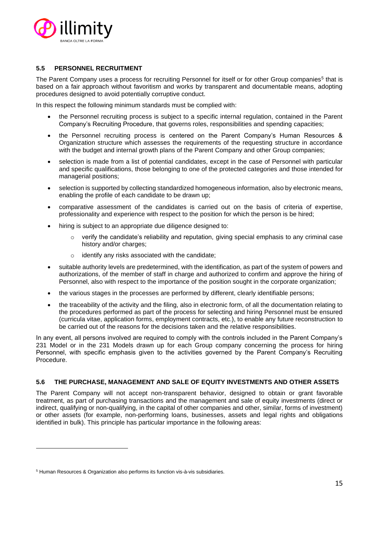

#### <span id="page-14-0"></span>**5.5 PERSONNEL RECRUITMENT**

The Parent Company uses a process for recruiting Personnel for itself or for other Group companies<sup>5</sup> that is based on a fair approach without favoritism and works by transparent and documentable means, adopting procedures designed to avoid potentially corruptive conduct.

In this respect the following minimum standards must be complied with:

- the Personnel recruiting process is subject to a specific internal regulation, contained in the Parent Company's Recruiting Procedure, that governs roles, responsibilities and spending capacities;
- the Personnel recruiting process is centered on the Parent Company's Human Resources & Organization structure which assesses the requirements of the requesting structure in accordance with the budget and internal growth plans of the Parent Company and other Group companies;
- selection is made from a list of potential candidates, except in the case of Personnel with particular and specific qualifications, those belonging to one of the protected categories and those intended for managerial positions;
- selection is supported by collecting standardized homogeneous information, also by electronic means, enabling the profile of each candidate to be drawn up;
- comparative assessment of the candidates is carried out on the basis of criteria of expertise, professionality and experience with respect to the position for which the person is be hired;
- hiring is subject to an appropriate due diligence designed to:
	- $\circ$  verify the candidate's reliability and reputation, giving special emphasis to any criminal case history and/or charges;
	- identify any risks associated with the candidate;
- suitable authority levels are predetermined, with the identification, as part of the system of powers and authorizations, of the member of staff in charge and authorized to confirm and approve the hiring of Personnel, also with respect to the importance of the position sought in the corporate organization;
- the various stages in the processes are performed by different, clearly identifiable persons;
- the traceability of the activity and the filing, also in electronic form, of all the documentation relating to the procedures performed as part of the process for selecting and hiring Personnel must be ensured (curricula vitae, application forms, employment contracts, etc.), to enable any future reconstruction to be carried out of the reasons for the decisions taken and the relative responsibilities.

In any event, all persons involved are required to comply with the controls included in the Parent Company's 231 Model or in the 231 Models drawn up for each Group company concerning the process for hiring Personnel, with specific emphasis given to the activities governed by the Parent Company's Recruiting Procedure.

#### <span id="page-14-1"></span>**5.6 THE PURCHASE, MANAGEMENT AND SALE OF EQUITY INVESTMENTS AND OTHER ASSETS**

The Parent Company will not accept non-transparent behavior, designed to obtain or grant favorable treatment, as part of purchasing transactions and the management and sale of equity investments (direct or indirect, qualifying or non-qualifying, in the capital of other companies and other, similar, forms of investment) or other assets (for example, non-performing loans, businesses, assets and legal rights and obligations identified in bulk). This principle has particular importance in the following areas:

<sup>5</sup> Human Resources & Organization also performs its function vis-à-vis subsidiaries.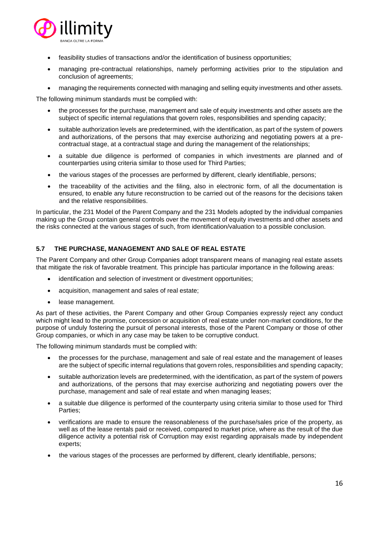

- feasibility studies of transactions and/or the identification of business opportunities;
- managing pre-contractual relationships, namely performing activities prior to the stipulation and conclusion of agreements;
- managing the requirements connected with managing and selling equity investments and other assets.

The following minimum standards must be complied with:

- the processes for the purchase, management and sale of equity investments and other assets are the subject of specific internal regulations that govern roles, responsibilities and spending capacity;
- suitable authorization levels are predetermined, with the identification, as part of the system of powers and authorizations, of the persons that may exercise authorizing and negotiating powers at a precontractual stage, at a contractual stage and during the management of the relationships;
- a suitable due diligence is performed of companies in which investments are planned and of counterparties using criteria similar to those used for Third Parties;
- the various stages of the processes are performed by different, clearly identifiable, persons;
- the traceability of the activities and the filing, also in electronic form, of all the documentation is ensured, to enable any future reconstruction to be carried out of the reasons for the decisions taken and the relative responsibilities.

In particular, the 231 Model of the Parent Company and the 231 Models adopted by the individual companies making up the Group contain general controls over the movement of equity investments and other assets and the risks connected at the various stages of such, from identification/valuation to a possible conclusion.

#### <span id="page-15-0"></span>**5.7 THE PURCHASE, MANAGEMENT AND SALE OF REAL ESTATE**

The Parent Company and other Group Companies adopt transparent means of managing real estate assets that mitigate the risk of favorable treatment. This principle has particular importance in the following areas:

- identification and selection of investment or divestment opportunities;
- acquisition, management and sales of real estate;
- lease management.

As part of these activities, the Parent Company and other Group Companies expressly reject any conduct which might lead to the promise, concession or acquisition of real estate under non-market conditions, for the purpose of unduly fostering the pursuit of personal interests, those of the Parent Company or those of other Group companies, or which in any case may be taken to be corruptive conduct.

The following minimum standards must be complied with:

- the processes for the purchase, management and sale of real estate and the management of leases are the subject of specific internal regulations that govern roles, responsibilities and spending capacity;
- suitable authorization levels are predetermined, with the identification, as part of the system of powers and authorizations, of the persons that may exercise authorizing and negotiating powers over the purchase, management and sale of real estate and when managing leases;
- a suitable due diligence is performed of the counterparty using criteria similar to those used for Third Parties;
- verifications are made to ensure the reasonableness of the purchase/sales price of the property, as well as of the lease rentals paid or received, compared to market price, where as the result of the due diligence activity a potential risk of Corruption may exist regarding appraisals made by independent experts;
- the various stages of the processes are performed by different, clearly identifiable, persons;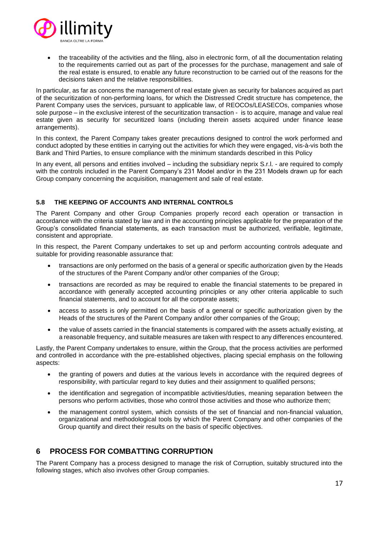

• the traceability of the activities and the filing, also in electronic form, of all the documentation relating to the requirements carried out as part of the processes for the purchase, management and sale of the real estate is ensured, to enable any future reconstruction to be carried out of the reasons for the decisions taken and the relative responsibilities.

In particular, as far as concerns the management of real estate given as security for balances acquired as part of the securitization of non-performing loans, for which the Distressed Credit structure has competence, the Parent Company uses the services, pursuant to applicable law, of REOCOs/LEASECOs, companies whose sole purpose – in the exclusive interest of the securitization transaction - is to acquire, manage and value real estate given as security for securitized loans (including therein assets acquired under finance lease arrangements).

In this context, the Parent Company takes greater precautions designed to control the work performed and conduct adopted by these entities in carrying out the activities for which they were engaged, vis-à-vis both the Bank and Third Parties, to ensure compliance with the minimum standards described in this Policy

In any event, all persons and entities involved – including the subsidiary neprix S.r.l. - are required to comply with the controls included in the Parent Company's 231 Model and/or in the 231 Models drawn up for each Group company concerning the acquisition, management and sale of real estate.

#### <span id="page-16-0"></span>**5.8 THE KEEPING OF ACCOUNTS AND INTERNAL CONTROLS**

The Parent Company and other Group Companies properly record each operation or transaction in accordance with the criteria stated by law and in the accounting principles applicable for the preparation of the Group's consolidated financial statements, as each transaction must be authorized, verifiable, legitimate, consistent and appropriate.

In this respect, the Parent Company undertakes to set up and perform accounting controls adequate and suitable for providing reasonable assurance that:

- transactions are only performed on the basis of a general or specific authorization given by the Heads of the structures of the Parent Company and/or other companies of the Group;
- transactions are recorded as may be required to enable the financial statements to be prepared in accordance with generally accepted accounting principles or any other criteria applicable to such financial statements, and to account for all the corporate assets;
- access to assets is only permitted on the basis of a general or specific authorization given by the Heads of the structures of the Parent Company and/or other companies of the Group;
- the value of assets carried in the financial statements is compared with the assets actually existing, at a reasonable frequency, and suitable measures are taken with respect to any differences encountered.

Lastly, the Parent Company undertakes to ensure, within the Group, that the process activities are performed and controlled in accordance with the pre-established objectives, placing special emphasis on the following aspects:

- the granting of powers and duties at the various levels in accordance with the required degrees of responsibility, with particular regard to key duties and their assignment to qualified persons;
- the identification and segregation of incompatible activities/duties, meaning separation between the persons who perform activities, those who control those activities and those who authorize them;
- the management control system, which consists of the set of financial and non-financial valuation, organizational and methodological tools by which the Parent Company and other companies of the Group quantify and direct their results on the basis of specific objectives.

## <span id="page-16-1"></span>**6 PROCESS FOR COMBATTING CORRUPTION**

The Parent Company has a process designed to manage the risk of Corruption, suitably structured into the following stages, which also involves other Group companies.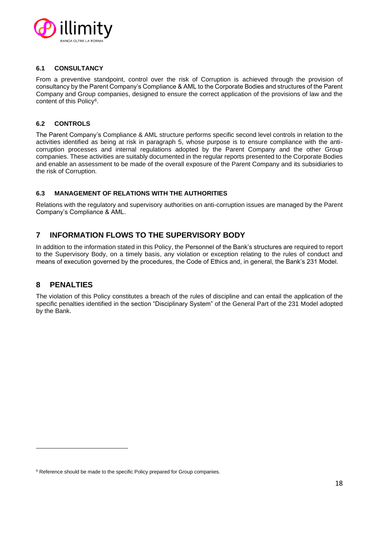

#### <span id="page-17-0"></span>**6.1 CONSULTANCY**

From a preventive standpoint, control over the risk of Corruption is achieved through the provision of consultancy by the Parent Company's Compliance & AML to the Corporate Bodies and structures of the Parent Company and Group companies, designed to ensure the correct application of the provisions of law and the content of this Policy<sup>6</sup>.

#### <span id="page-17-1"></span>**6.2 CONTROLS**

The Parent Company's Compliance & AML structure performs specific second level controls in relation to the activities identified as being at risk in paragraph 5, whose purpose is to ensure compliance with the anticorruption processes and internal regulations adopted by the Parent Company and the other Group companies. These activities are suitably documented in the regular reports presented to the Corporate Bodies and enable an assessment to be made of the overall exposure of the Parent Company and its subsidiaries to the risk of Corruption.

#### <span id="page-17-2"></span>**6.3 MANAGEMENT OF RELATIONS WITH THE AUTHORITIES**

Relations with the regulatory and supervisory authorities on anti-corruption issues are managed by the Parent Company's Compliance & AML.

## <span id="page-17-3"></span>**7 INFORMATION FLOWS TO THE SUPERVISORY BODY**

In addition to the information stated in this Policy, the Personnel of the Bank's structures are required to report to the Supervisory Body, on a timely basis, any violation or exception relating to the rules of conduct and means of execution governed by the procedures, the Code of Ethics and, in general, the Bank's 231 Model.

## <span id="page-17-4"></span>**8 PENALTIES**

The violation of this Policy constitutes a breach of the rules of discipline and can entail the application of the specific penalties identified in the section "Disciplinary System" of the General Part of the 231 Model adopted by the Bank.

<sup>&</sup>lt;sup>6</sup> Reference should be made to the specific Policy prepared for Group companies.